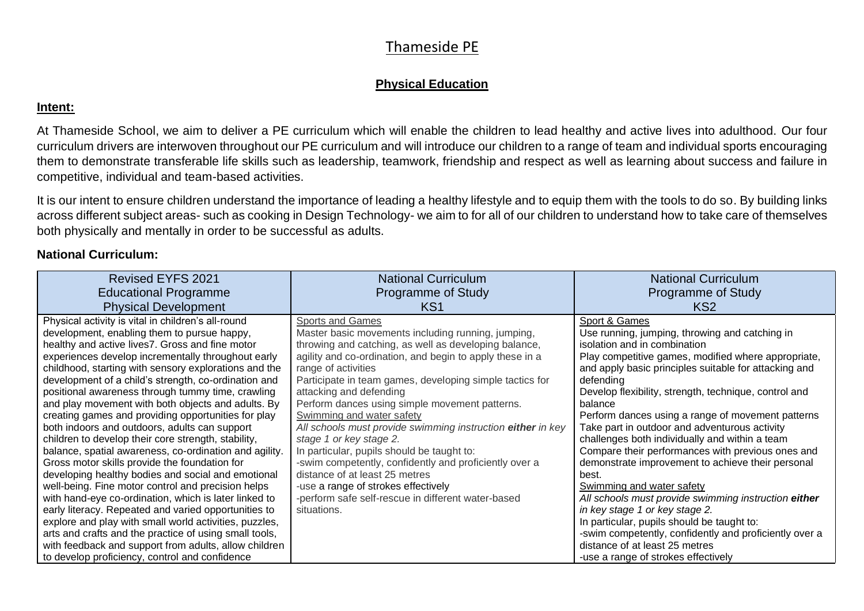#### **Physical Education**

#### **Intent:**

At Thameside School, we aim to deliver a PE curriculum which will enable the children to lead healthy and active lives into adulthood. Our four curriculum drivers are interwoven throughout our PE curriculum and will introduce our children to a range of team and individual sports encouraging them to demonstrate transferable life skills such as leadership, teamwork, friendship and respect as well as learning about success and failure in competitive, individual and team-based activities.

It is our intent to ensure children understand the importance of leading a healthy lifestyle and to equip them with the tools to do so. By building links across different subject areas- such as cooking in Design Technology- we aim to for all of our children to understand how to take care of themselves both physically and mentally in order to be successful as adults.

#### **National Curriculum:**

| Revised EYFS 2021                                                                                                                                                                                                                                                                                                                                                                                                                                                                                                                                                                                                                                                                                                                                                                                                                                                                                                                             | <b>National Curriculum</b>                                                                                                                                                                                                                                                                                                                                                                                                                                                                                                                                                                                                                                                                                                                      | <b>National Curriculum</b>                                                                                                                                                                                                                                                                                                                                                                                                                                                                                                                                                                                                                                                                         |
|-----------------------------------------------------------------------------------------------------------------------------------------------------------------------------------------------------------------------------------------------------------------------------------------------------------------------------------------------------------------------------------------------------------------------------------------------------------------------------------------------------------------------------------------------------------------------------------------------------------------------------------------------------------------------------------------------------------------------------------------------------------------------------------------------------------------------------------------------------------------------------------------------------------------------------------------------|-------------------------------------------------------------------------------------------------------------------------------------------------------------------------------------------------------------------------------------------------------------------------------------------------------------------------------------------------------------------------------------------------------------------------------------------------------------------------------------------------------------------------------------------------------------------------------------------------------------------------------------------------------------------------------------------------------------------------------------------------|----------------------------------------------------------------------------------------------------------------------------------------------------------------------------------------------------------------------------------------------------------------------------------------------------------------------------------------------------------------------------------------------------------------------------------------------------------------------------------------------------------------------------------------------------------------------------------------------------------------------------------------------------------------------------------------------------|
| <b>Educational Programme</b>                                                                                                                                                                                                                                                                                                                                                                                                                                                                                                                                                                                                                                                                                                                                                                                                                                                                                                                  | <b>Programme of Study</b>                                                                                                                                                                                                                                                                                                                                                                                                                                                                                                                                                                                                                                                                                                                       | Programme of Study                                                                                                                                                                                                                                                                                                                                                                                                                                                                                                                                                                                                                                                                                 |
| <b>Physical Development</b>                                                                                                                                                                                                                                                                                                                                                                                                                                                                                                                                                                                                                                                                                                                                                                                                                                                                                                                   | KS <sub>1</sub>                                                                                                                                                                                                                                                                                                                                                                                                                                                                                                                                                                                                                                                                                                                                 | KS <sub>2</sub>                                                                                                                                                                                                                                                                                                                                                                                                                                                                                                                                                                                                                                                                                    |
| Physical activity is vital in children's all-round<br>development, enabling them to pursue happy,<br>healthy and active lives7. Gross and fine motor<br>experiences develop incrementally throughout early<br>childhood, starting with sensory explorations and the<br>development of a child's strength, co-ordination and<br>positional awareness through tummy time, crawling<br>and play movement with both objects and adults. By<br>creating games and providing opportunities for play<br>both indoors and outdoors, adults can support<br>children to develop their core strength, stability,<br>balance, spatial awareness, co-ordination and agility.<br>Gross motor skills provide the foundation for<br>developing healthy bodies and social and emotional<br>well-being. Fine motor control and precision helps<br>with hand-eye co-ordination, which is later linked to<br>early literacy. Repeated and varied opportunities to | <b>Sports and Games</b><br>Master basic movements including running, jumping,<br>throwing and catching, as well as developing balance,<br>agility and co-ordination, and begin to apply these in a<br>range of activities<br>Participate in team games, developing simple tactics for<br>attacking and defending<br>Perform dances using simple movement patterns.<br>Swimming and water safety<br>All schools must provide swimming instruction either in key<br>stage 1 or key stage 2.<br>In particular, pupils should be taught to:<br>-swim competently, confidently and proficiently over a<br>distance of at least 25 metres<br>-use a range of strokes effectively<br>-perform safe self-rescue in different water-based<br>situations. | Sport & Games<br>Use running, jumping, throwing and catching in<br>isolation and in combination<br>Play competitive games, modified where appropriate,<br>and apply basic principles suitable for attacking and<br>defending<br>Develop flexibility, strength, technique, control and<br>balance<br>Perform dances using a range of movement patterns<br>Take part in outdoor and adventurous activity<br>challenges both individually and within a team<br>Compare their performances with previous ones and<br>demonstrate improvement to achieve their personal<br>best.<br>Swimming and water safety<br>All schools must provide swimming instruction either<br>in key stage 1 or key stage 2. |
| explore and play with small world activities, puzzles,<br>arts and crafts and the practice of using small tools,                                                                                                                                                                                                                                                                                                                                                                                                                                                                                                                                                                                                                                                                                                                                                                                                                              |                                                                                                                                                                                                                                                                                                                                                                                                                                                                                                                                                                                                                                                                                                                                                 | In particular, pupils should be taught to:<br>-swim competently, confidently and proficiently over a                                                                                                                                                                                                                                                                                                                                                                                                                                                                                                                                                                                               |
| with feedback and support from adults, allow children<br>to develop proficiency, control and confidence                                                                                                                                                                                                                                                                                                                                                                                                                                                                                                                                                                                                                                                                                                                                                                                                                                       |                                                                                                                                                                                                                                                                                                                                                                                                                                                                                                                                                                                                                                                                                                                                                 | distance of at least 25 metres<br>-use a range of strokes effectively                                                                                                                                                                                                                                                                                                                                                                                                                                                                                                                                                                                                                              |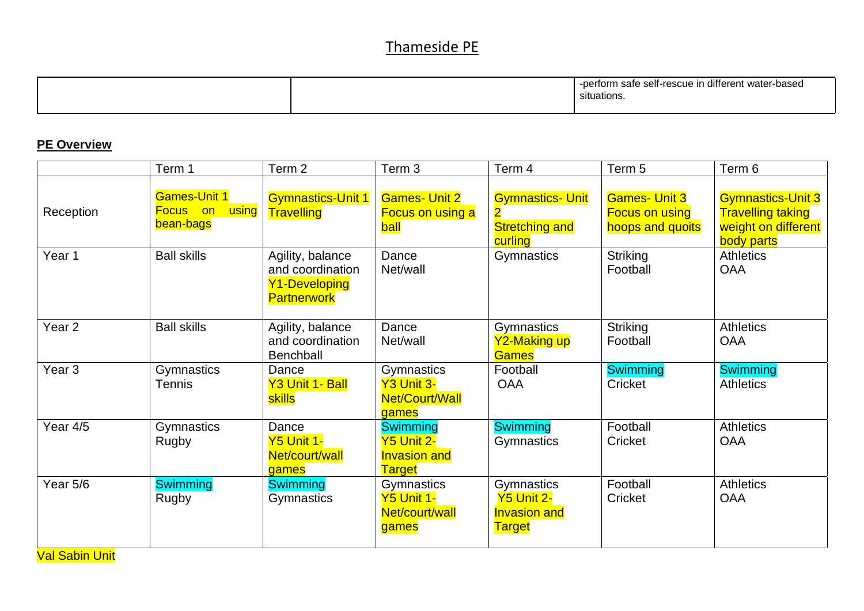|  |  | -perform safe self-rescue in different water-<br>r-based<br>situations. |
|--|--|-------------------------------------------------------------------------|
|--|--|-------------------------------------------------------------------------|

### **PE Overview**

|                   | Term 1                                                       | Term <sub>2</sub>                                                           | Term 3                                                                       | Term 4                                                                                 | Term 5                                                            | Term 6                                                                                    |
|-------------------|--------------------------------------------------------------|-----------------------------------------------------------------------------|------------------------------------------------------------------------------|----------------------------------------------------------------------------------------|-------------------------------------------------------------------|-------------------------------------------------------------------------------------------|
| Reception         | <b>Games-Unit 1</b><br><b>using</b><br>Focus on<br>bean-bags | <b>Gymnastics-Unit 1</b><br>Travelling                                      | <b>Games- Unit 2</b><br><b>Focus on using a</b><br><b>ball</b>               | <b>Gymnastics- Unit</b><br>$\overline{\mathbf{2}}$<br><b>Stretching and</b><br>curling | <b>Games- Unit 3</b><br><b>Focus on using</b><br>hoops and quoits | <b>Gymnastics-Unit 3</b><br><b>Travelling taking</b><br>weight on different<br>body parts |
| Year 1            | <b>Ball skills</b>                                           | Agility, balance<br>and coordination<br>Y1-Developing<br><b>Partnerwork</b> | Dance<br>Net/wall                                                            | Gymnastics                                                                             | <b>Striking</b><br>Football                                       | <b>Athletics</b><br><b>OAA</b>                                                            |
| Year <sub>2</sub> | <b>Ball skills</b>                                           | Agility, balance<br>and coordination<br>Benchball                           | Dance<br>Net/wall                                                            | Gymnastics<br>Y2-Making up<br><b>Games</b>                                             | <b>Striking</b><br>Football                                       | <b>Athletics</b><br><b>OAA</b>                                                            |
| Year <sub>3</sub> | Gymnastics<br><b>Tennis</b>                                  | Dance<br>Y3 Unit 1- Ball<br>skills                                          | Gymnastics<br>Y3 Unit 3-<br>Net/Court/Wall<br>games                          | Football<br><b>OAA</b>                                                                 | <b>Swimming</b><br>Cricket                                        | <b>Swimming</b><br><b>Athletics</b>                                                       |
| Year 4/5          | Gymnastics<br>Rugby                                          | Dance<br><b>Y5 Unit 1-</b><br>Net/court/wall<br>games                       | <b>Swimming</b><br><b>Y5 Unit 2-</b><br><b>Invasion and</b><br><b>Target</b> | <b>Swimming</b><br>Gymnastics                                                          | Football<br>Cricket                                               | <b>Athletics</b><br><b>OAA</b>                                                            |
| Year 5/6          | <b>Swimming</b><br>Rugby                                     | <b>Swimming</b><br>Gymnastics                                               | Gymnastics<br><b>Y5 Unit 1-</b><br>Net/court/wall<br>games                   | Gymnastics<br><b>Y5 Unit 2-</b><br><b>Invasion and</b><br><b>Target</b>                | Football<br>Cricket                                               | <b>Athletics</b><br><b>OAA</b>                                                            |

Val Sabin Unit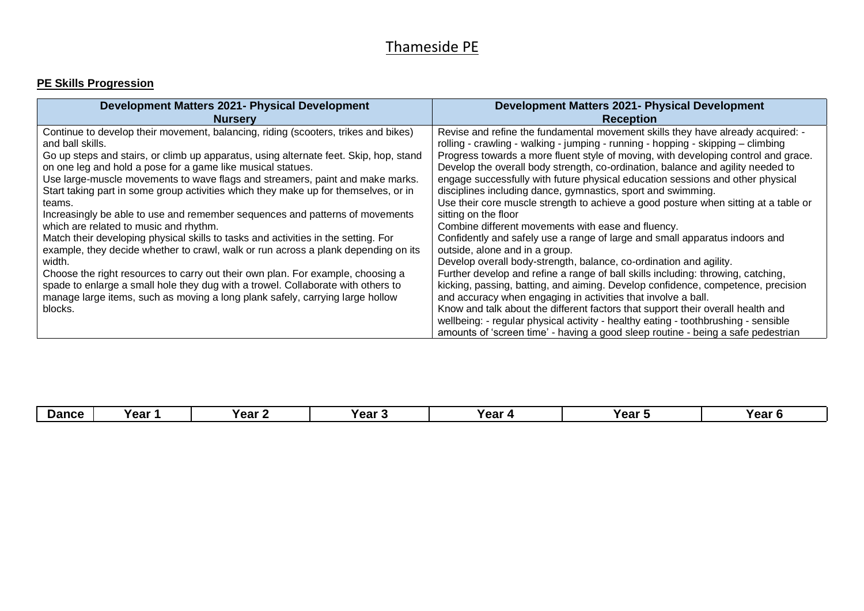#### **PE Skills Progression**

| <b>Development Matters 2021- Physical Development</b>                                                                                                                                                                                                                                                                                                                                                                                                                                                                                                                                                                                                                                                                                                                                                                                                                                                                                                                                                                               | <b>Development Matters 2021- Physical Development</b>                                                                                                                                                                                                                                                                                                                                                                                                                                                                                                                                                                                                                                                                                                                                                                                                                                                                                                                                                                                                                                                                                                                                                                                                                                                                                                            |
|-------------------------------------------------------------------------------------------------------------------------------------------------------------------------------------------------------------------------------------------------------------------------------------------------------------------------------------------------------------------------------------------------------------------------------------------------------------------------------------------------------------------------------------------------------------------------------------------------------------------------------------------------------------------------------------------------------------------------------------------------------------------------------------------------------------------------------------------------------------------------------------------------------------------------------------------------------------------------------------------------------------------------------------|------------------------------------------------------------------------------------------------------------------------------------------------------------------------------------------------------------------------------------------------------------------------------------------------------------------------------------------------------------------------------------------------------------------------------------------------------------------------------------------------------------------------------------------------------------------------------------------------------------------------------------------------------------------------------------------------------------------------------------------------------------------------------------------------------------------------------------------------------------------------------------------------------------------------------------------------------------------------------------------------------------------------------------------------------------------------------------------------------------------------------------------------------------------------------------------------------------------------------------------------------------------------------------------------------------------------------------------------------------------|
| <b>Nurserv</b>                                                                                                                                                                                                                                                                                                                                                                                                                                                                                                                                                                                                                                                                                                                                                                                                                                                                                                                                                                                                                      | <b>Reception</b>                                                                                                                                                                                                                                                                                                                                                                                                                                                                                                                                                                                                                                                                                                                                                                                                                                                                                                                                                                                                                                                                                                                                                                                                                                                                                                                                                 |
| Continue to develop their movement, balancing, riding (scooters, trikes and bikes)<br>and ball skills.<br>Go up steps and stairs, or climb up apparatus, using alternate feet. Skip, hop, stand<br>on one leg and hold a pose for a game like musical statues.<br>Use large-muscle movements to wave flags and streamers, paint and make marks.<br>Start taking part in some group activities which they make up for themselves, or in<br>teams.<br>Increasingly be able to use and remember sequences and patterns of movements<br>which are related to music and rhythm.<br>Match their developing physical skills to tasks and activities in the setting. For<br>example, they decide whether to crawl, walk or run across a plank depending on its<br>width.<br>Choose the right resources to carry out their own plan. For example, choosing a<br>spade to enlarge a small hole they dug with a trowel. Collaborate with others to<br>manage large items, such as moving a long plank safely, carrying large hollow<br>blocks. | Revise and refine the fundamental movement skills they have already acquired: -<br>rolling - crawling - walking - jumping - running - hopping - skipping - climbing<br>Progress towards a more fluent style of moving, with developing control and grace.<br>Develop the overall body strength, co-ordination, balance and agility needed to<br>engage successfully with future physical education sessions and other physical<br>disciplines including dance, gymnastics, sport and swimming.<br>Use their core muscle strength to achieve a good posture when sitting at a table or<br>sitting on the floor<br>Combine different movements with ease and fluency.<br>Confidently and safely use a range of large and small apparatus indoors and<br>outside, alone and in a group.<br>Develop overall body-strength, balance, co-ordination and agility.<br>Further develop and refine a range of ball skills including: throwing, catching,<br>kicking, passing, batting, and aiming. Develop confidence, competence, precision<br>and accuracy when engaging in activities that involve a ball.<br>Know and talk about the different factors that support their overall health and<br>wellbeing: - regular physical activity - healthy eating - toothbrushing - sensible<br>amounts of 'screen time' - having a good sleep routine - being a safe pedestrian |

| <b>Dance</b> | Year ′ | Year $\sim$ | Year : | Year | Year | Year ' |
|--------------|--------|-------------|--------|------|------|--------|
|--------------|--------|-------------|--------|------|------|--------|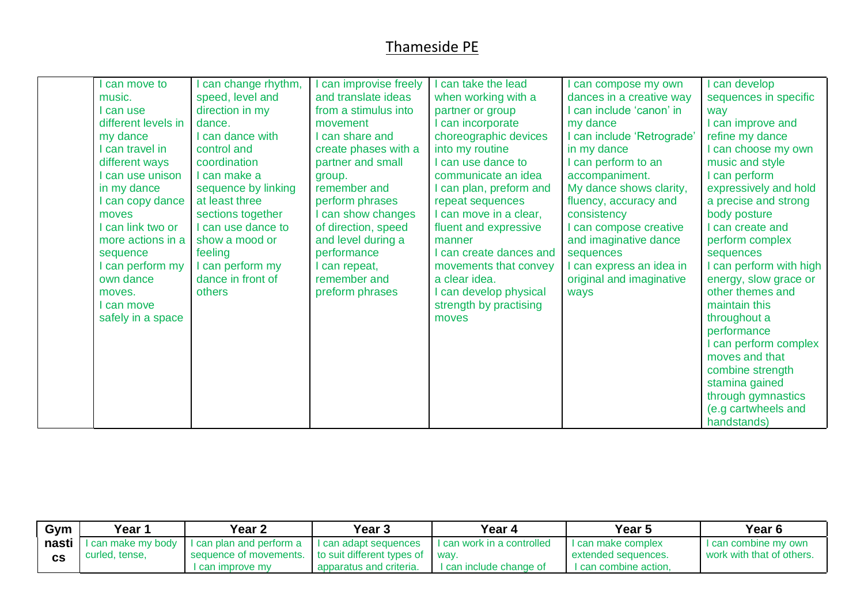| can move to         | can change rhythm,  | can improvise freely | can take the lead       | can compose my own         | can develop           |
|---------------------|---------------------|----------------------|-------------------------|----------------------------|-----------------------|
| music.              | speed, level and    | and translate ideas  | when working with a     | dances in a creative way   | sequences in specific |
| I can use           | direction in my     | from a stimulus into | partner or group        | can include 'canon' in     | way                   |
| different levels in | dance.              | movement             | can incorporate         | my dance                   | I can improve and     |
| my dance            | I can dance with    | I can share and      | choreographic devices   | I can include 'Retrograde' | refine my dance       |
| I can travel in     | control and         | create phases with a | into my routine         | in my dance                | I can choose my own   |
| different ways      | coordination        | partner and small    | I can use dance to      | I can perform to an        | music and style       |
| I can use unison    | I can make a        | group.               | communicate an idea     | accompaniment.             | I can perform         |
| in my dance         | sequence by linking | remember and         | can plan, preform and   | My dance shows clarity,    | expressively and hold |
| I can copy dance    | at least three      | perform phrases      | repeat sequences        | fluency, accuracy and      | a precise and strong  |
| moves               | sections together   | I can show changes   | I can move in a clear,  | consistency                | body posture          |
| I can link two or   | I can use dance to  | of direction, speed  | fluent and expressive   | I can compose creative     | can create and        |
| more actions in a   | show a mood or      | and level during a   | manner                  | and imaginative dance      | perform complex       |
| sequence            | feeling             | performance          | I can create dances and | sequences                  | sequences             |
| I can perform my    | I can perform my    | can repeat,          | movements that convey   | I can express an idea in   | can perform with high |
| own dance           | dance in front of   | remember and         | a clear idea.           | original and imaginative   | energy, slow grace or |
| moves.              | others              | preform phrases      | I can develop physical  | ways                       | other themes and      |
| I can move          |                     |                      | strength by practising  |                            | maintain this         |
| safely in a space   |                     |                      | moves                   |                            | throughout a          |
|                     |                     |                      |                         |                            | performance           |
|                     |                     |                      |                         |                            | I can perform complex |
|                     |                     |                      |                         |                            | moves and that        |
|                     |                     |                      |                         |                            | combine strength      |
|                     |                     |                      |                         |                            | stamina gained        |
|                     |                     |                      |                         |                            | through gymnastics    |
|                     |                     |                      |                         |                            | (e.g cartwheels and   |
|                     |                     |                      |                         |                            | handstands)           |

| Gym   | Year 1             | Year 2                   | Year <sub>3</sub>               | Year 4                     | Year 5                | Year <sub>6</sub>         |
|-------|--------------------|--------------------------|---------------------------------|----------------------------|-----------------------|---------------------------|
| nasti | I can make my body | I can plan and perform a | I can adapt sequences           | I can work in a controlled | I can make complex    | I can combine my own      |
|       | curled, tense,     | sequence of movements.   | to suit different types of way. |                            | extended sequences.   | work with that of others. |
|       |                    | can improve my           | apparatus and criteria.         | ' can include change of    | I can combine action. |                           |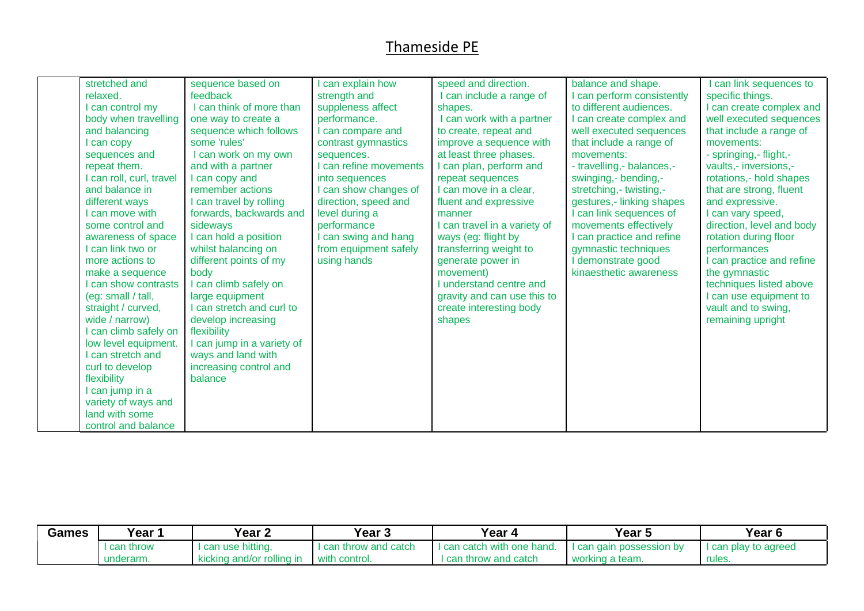| Games | Year 1      | Year 2                    | Year <sub>3</sub>   | Year 4                     | Year 5                     | Year <sub>6</sub>    |
|-------|-------------|---------------------------|---------------------|----------------------------|----------------------------|----------------------|
|       | I can throw | I can use hitting,        | can throw and catch | I can catch with one hand. | I I can gain possession by | I can play to agreed |
|       | underarm.   | kicking and/or rolling in | with control.       | throw and catch<br>can     | working a team.            | rules.               |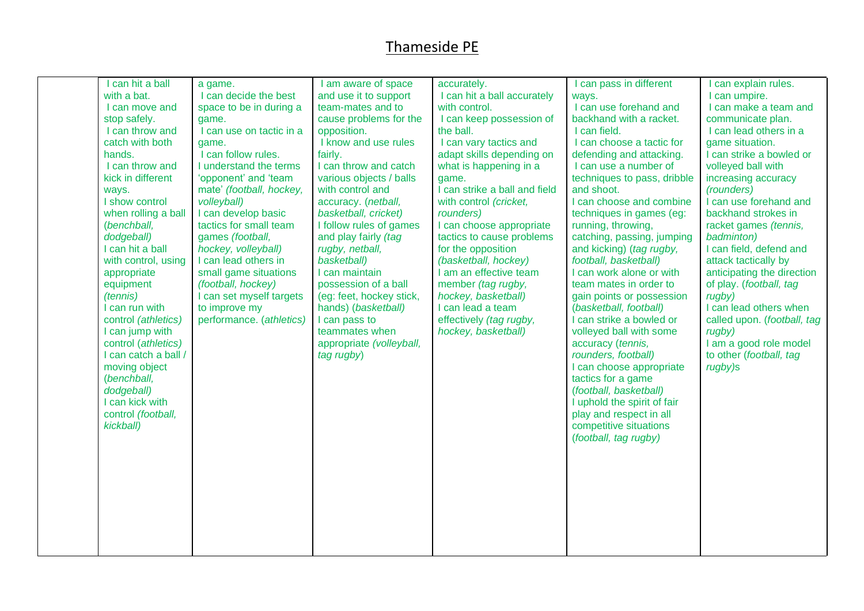| I can hit a ball<br>with a bat.<br>I can move and<br>stop safely.<br>I can throw and<br>catch with both                                                                                                                                                                                                                                      | a game.<br>I can decide the best<br>space to be in during a<br>game.<br>I can use on tactic in a<br>game.                                                                                                                                                                                                                                                    | I am aware of space<br>and use it to support<br>team-mates and to<br>cause problems for the<br>opposition.<br>I know and use rules                                                                                                                                                                                                                                                            | accurately.<br>I can hit a ball accurately<br>with control.<br>I can keep possession of<br>the ball.<br>I can vary tactics and                                                                                                                                                                                                                                                            | I can pass in different<br>ways.<br>I can use forehand and<br>backhand with a racket.<br>I can field.<br>I can choose a tactic for                                                                                                                                                                                                                                                                                                                                                                          | I can explain rules.<br>I can umpire.<br>I can make a team and<br>communicate plan.<br>I can lead others in a<br>game situation.                                                                                                                                                                                                                                                                                                     |
|----------------------------------------------------------------------------------------------------------------------------------------------------------------------------------------------------------------------------------------------------------------------------------------------------------------------------------------------|--------------------------------------------------------------------------------------------------------------------------------------------------------------------------------------------------------------------------------------------------------------------------------------------------------------------------------------------------------------|-----------------------------------------------------------------------------------------------------------------------------------------------------------------------------------------------------------------------------------------------------------------------------------------------------------------------------------------------------------------------------------------------|-------------------------------------------------------------------------------------------------------------------------------------------------------------------------------------------------------------------------------------------------------------------------------------------------------------------------------------------------------------------------------------------|-------------------------------------------------------------------------------------------------------------------------------------------------------------------------------------------------------------------------------------------------------------------------------------------------------------------------------------------------------------------------------------------------------------------------------------------------------------------------------------------------------------|--------------------------------------------------------------------------------------------------------------------------------------------------------------------------------------------------------------------------------------------------------------------------------------------------------------------------------------------------------------------------------------------------------------------------------------|
| hands.<br>I can throw and<br>kick in different<br>ways.<br>I show control<br>when rolling a ball<br>(benchball,<br>dodgeball)<br>I can hit a ball<br>with control, using<br>appropriate<br>equipment<br>(tennis)<br>I can run with<br>control (athletics)<br>I can jump with<br>control (athletics)<br>I can catch a ball /<br>moving object | I can follow rules.<br>I understand the terms<br>'opponent' and 'team<br>mate' (football, hockey,<br>volleyball)<br>I can develop basic<br>tactics for small team<br>games (football,<br>hockey, volleyball)<br>I can lead others in<br>small game situations<br>(football, hockey)<br>I can set myself targets<br>to improve my<br>performance. (athletics) | fairly.<br>I can throw and catch<br>various objects / balls<br>with control and<br>accuracy. (netball,<br>basketball, cricket)<br>I follow rules of games<br>and play fairly (tag<br>rugby, netball,<br>basketball)<br>I can maintain<br>possession of a ball<br>(eg: feet, hockey stick,<br>hands) (basketball)<br>I can pass to<br>teammates when<br>appropriate (volleyball,<br>tag rugby) | adapt skills depending on<br>what is happening in a<br>game.<br>I can strike a ball and field<br>with control (cricket,<br>rounders)<br>I can choose appropriate<br>tactics to cause problems<br>for the opposition<br>(basketball, hockey)<br>I am an effective team<br>member (tag rugby,<br>hockey, basketball)<br>I can lead a team<br>effectively (tag rugby,<br>hockey, basketball) | defending and attacking.<br>I can use a number of<br>techniques to pass, dribble<br>and shoot.<br>I can choose and combine<br>techniques in games (eg:<br>running, throwing,<br>catching, passing, jumping<br>and kicking) (tag rugby,<br>football, basketball)<br>I can work alone or with<br>team mates in order to<br>gain points or possession<br>(basketball, football)<br>I can strike a bowled or<br>volleyed ball with some<br>accuracy (tennis,<br>rounders, football)<br>I can choose appropriate | I can strike a bowled or<br>volleyed ball with<br>increasing accuracy<br>(rounders)<br>I can use forehand and<br>backhand strokes in<br>racket games (tennis,<br>badminton)<br>I can field, defend and<br>attack tactically by<br>anticipating the direction<br>of play. (football, tag<br>rugby)<br>I can lead others when<br>called upon. (football, tag<br>rugby)<br>I am a good role model<br>to other (football, tag<br>rugby)s |
| (benchball,<br>dodgeball)<br>I can kick with<br>control (football,<br>kickball)                                                                                                                                                                                                                                                              |                                                                                                                                                                                                                                                                                                                                                              |                                                                                                                                                                                                                                                                                                                                                                                               |                                                                                                                                                                                                                                                                                                                                                                                           | tactics for a game<br>(football, basketball)<br>I uphold the spirit of fair<br>play and respect in all<br>competitive situations<br>(football, tag rugby)                                                                                                                                                                                                                                                                                                                                                   |                                                                                                                                                                                                                                                                                                                                                                                                                                      |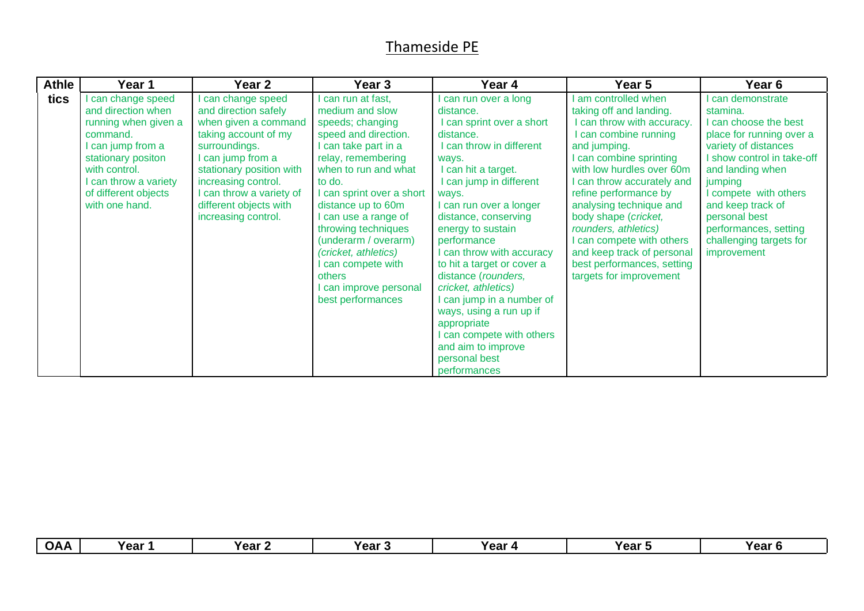| <b>Athle</b> | Year 1                                                                                                                                                                                                | Year 2                                                                                                                                                                                                                                                     | Year 3                                                                                                                                                                                                                                                                                                                                                                                         | Year 4                                                                                                                                                                                                                                                                                                                                                                                                                                                                                                                                | Year 5                                                                                                                                                                                                                                                                                                                                                                                                                     | Year 6                                                                                                                                                                                                                                                                                                  |
|--------------|-------------------------------------------------------------------------------------------------------------------------------------------------------------------------------------------------------|------------------------------------------------------------------------------------------------------------------------------------------------------------------------------------------------------------------------------------------------------------|------------------------------------------------------------------------------------------------------------------------------------------------------------------------------------------------------------------------------------------------------------------------------------------------------------------------------------------------------------------------------------------------|---------------------------------------------------------------------------------------------------------------------------------------------------------------------------------------------------------------------------------------------------------------------------------------------------------------------------------------------------------------------------------------------------------------------------------------------------------------------------------------------------------------------------------------|----------------------------------------------------------------------------------------------------------------------------------------------------------------------------------------------------------------------------------------------------------------------------------------------------------------------------------------------------------------------------------------------------------------------------|---------------------------------------------------------------------------------------------------------------------------------------------------------------------------------------------------------------------------------------------------------------------------------------------------------|
| tics         | can change speed<br>and direction when<br>running when given a<br>command.<br>can jump from a<br>stationary positon<br>with control.<br>can throw a variety<br>of different objects<br>with one hand. | can change speed<br>and direction safely<br>when given a command<br>taking account of my<br>surroundings.<br>can jump from a<br>stationary position with<br>increasing control.<br>can throw a variety of<br>different objects with<br>increasing control. | can run at fast,<br>medium and slow<br>speeds; changing<br>speed and direction.<br>I can take part in a<br>relay, remembering<br>when to run and what<br>to do.<br>I can sprint over a short<br>distance up to 60m<br>I can use a range of<br>throwing techniques<br>(underarm / overarm)<br>(cricket, athletics)<br>can compete with<br>others<br>I can improve personal<br>best performances | can run over a long<br>distance.<br>I can sprint over a short<br>distance.<br>I can throw in different<br>ways.<br>I can hit a target.<br>I can jump in different<br>ways.<br>I can run over a longer<br>distance, conserving<br>energy to sustain<br>performance<br>I can throw with accuracy<br>to hit a target or cover a<br>distance (rounders,<br>cricket, athletics)<br>I can jump in a number of<br>ways, using a run up if<br>appropriate<br>I can compete with others<br>and aim to improve<br>personal best<br>performances | am controlled when<br>taking off and landing.<br>can throw with accuracy.<br>I can combine running<br>and jumping.<br>can combine sprinting<br>with low hurdles over 60m<br>can throw accurately and<br>refine performance by<br>analysing technique and<br>body shape (cricket,<br>rounders, athletics)<br>can compete with others<br>and keep track of personal<br>best performances, setting<br>targets for improvement | can demonstrate<br>stamina.<br>I can choose the best<br>place for running over a<br>variety of distances<br>I show control in take-off<br>and landing when<br>jumping<br>I compete with others<br>and keep track of<br>personal best<br>performances, setting<br>challenging targets for<br>improvement |

| <b>OAA</b><br>Year<br>Year 3<br>Year<br>Year 1<br>Year 2 | Year |
|----------------------------------------------------------|------|
|----------------------------------------------------------|------|